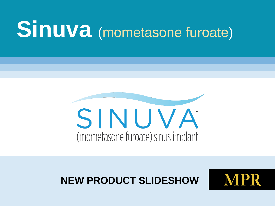# **Sinuva** (mometasone furoate)



#### **NEW PRODUCT SLIDESHOW**

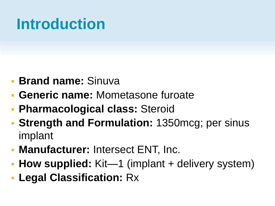## **Introduction**

- **Brand name:** Sinuva
- **Generic name:** Mometasone furoate
- **Pharmacological class:** Steroid
- **Strength and Formulation:** 1350mcg; per sinus implant
- **Manufacturer:** Intersect ENT, Inc.
- **How supplied:** Kit—1 (implant + delivery system)
- **Legal Classification:** Rx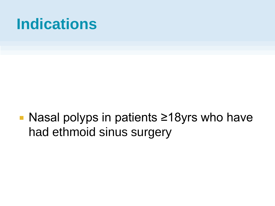#### **Indications**

■ Nasal polyps in patients ≥18yrs who have had ethmoid sinus surgery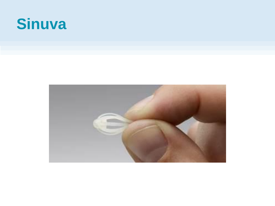#### **Sinuva**

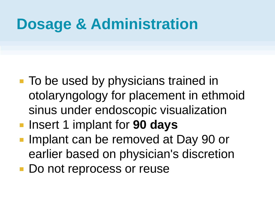#### **Dosage & Administration**

- To be used by physicians trained in otolaryngology for placement in ethmoid sinus under endoscopic visualization
- **Insert 1 implant for 90 days**
- **Implant can be removed at Day 90 or** earlier based on physician's discretion
- Do not reprocess or reuse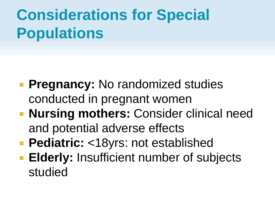# **Considerations for Special Populations**

- **Pregnancy:** No randomized studies conducted in pregnant women
- **Nursing mothers: Consider clinical need** and potential adverse effects
- **Pediatric:** <18yrs: not established
- **Elderly: Insufficient number of subjects** studied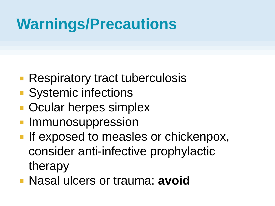## **Warnings/Precautions**

- **Respiratory tract tuberculosis**
- **Systemic infections**
- **Ocular herpes simplex**
- **Immunosuppression**
- **If exposed to measles or chickenpox,** consider anti-infective prophylactic therapy
- Nasal ulcers or trauma: **avoid**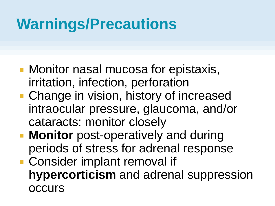# **Warnings/Precautions**

- **Monitor nasal mucosa for epistaxis,** irritation, infection, perforation
- **Change in vision, history of increased** intraocular pressure, glaucoma, and/or cataracts: monitor closely
- **Monitor** post-operatively and during periods of stress for adrenal response
- Consider implant removal if **hypercorticism** and adrenal suppression occurs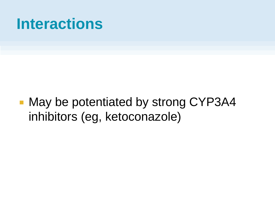#### **Interactions**

■ May be potentiated by strong CYP3A4 inhibitors (eg, ketoconazole)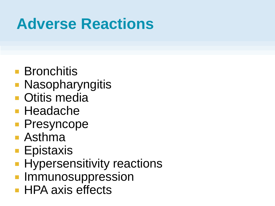# **Adverse Reactions**

- **Bronchitis**
- **Nasopharyngitis**
- **Otitis media**
- Headache
- **Presyncope**
- Asthma
- Epistaxis
- **Hypersensitivity reactions**
- **Immunosuppression**
- **HPA axis effects**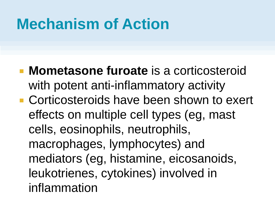## **Mechanism of Action**

- **Mometasone furoate** is a corticosteroid with potent anti-inflammatory activity
- **E** Corticosteroids have been shown to exert effects on multiple cell types (eg, mast cells, eosinophils, neutrophils, macrophages, lymphocytes) and mediators (eg, histamine, eicosanoids, leukotrienes, cytokines) involved in inflammation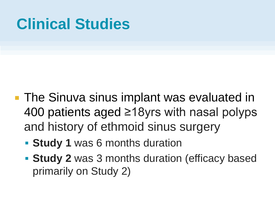- **The Sinuva sinus implant was evaluated in** 400 patients aged ≥18yrs with nasal polyps and history of ethmoid sinus surgery
	- **Study 1 was 6 months duration**
	- **Study 2** was 3 months duration (efficacy based primarily on Study 2)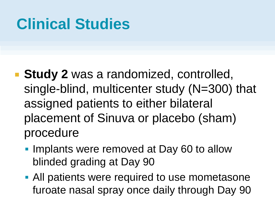- **Study 2** was a randomized, controlled, single-blind, multicenter study (N=300) that assigned patients to either bilateral placement of Sinuva or placebo (sham) procedure
	- **Implants were removed at Day 60 to allow** blinded grading at Day 90
	- **All patients were required to use mometasone** furoate nasal spray once daily through Day 90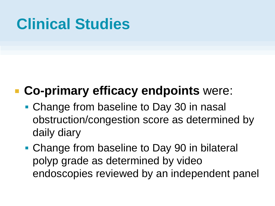#### **Co-primary efficacy endpoints** were:

- Change from baseline to Day 30 in nasal obstruction/congestion score as determined by daily diary
- Change from baseline to Day 90 in bilateral polyp grade as determined by video endoscopies reviewed by an independent panel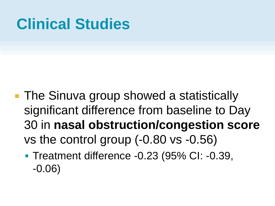- **The Sinuva group showed a statistically** significant difference from baseline to Day 30 in **nasal obstruction/congestion score**  vs the control group (-0.80 vs -0.56)
	- Treatment difference -0.23 (95% CI: -0.39, -0.06)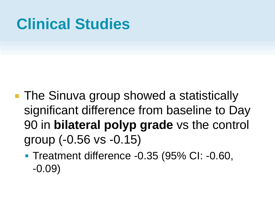- **The Sinuva group showed a statistically** significant difference from baseline to Day 90 in **bilateral polyp grade** vs the control group (-0.56 vs -0.15)
	- Treatment difference -0.35 (95% CI: -0.60, -0.09)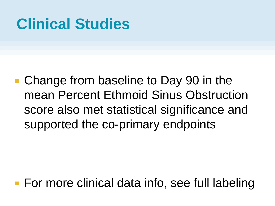■ Change from baseline to Day 90 in the mean Percent Ethmoid Sinus Obstruction score also met statistical significance and supported the co-primary endpoints

■ For more clinical data info, see full labeling